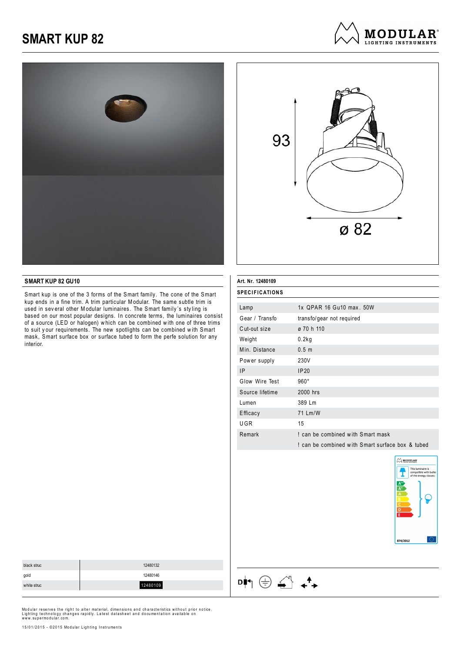



#### **SMART KUP 82 GU10**

Smart kup is one of the 3 forms of the Smart family. The cone of the Smart kup ends in a fine trim. A trim particular Modular. The same subtle trim is used in sev eral other Modular luminaires. The Smart family 's sty ling is based on our most popular designs. In concrete terms, the luminaires consist of a source (LED or halogen) w hich can be combined w ith one of three trims to suit y our requirements. The new spotlights can be combined w ith Smart mask, Smart surface box or surface tubed to form the perfe solution for any interior.

| SPECIFICATIONS  |                                                  |
|-----------------|--------------------------------------------------|
|                 | 1x QPAR 16 Gu10 max, 50W                         |
| Lamp            |                                                  |
| Gear / Transfo  | transfo/gear not required                        |
| Cut-out size    | ø 70 h 110                                       |
| Weight          | 0.2kg                                            |
| Min. Distance   | 0.5 <sub>m</sub>                                 |
| Power supply    | 230V                                             |
| 1P              | IP20                                             |
| Glow Wire Test  | $960^\circ$                                      |
| Source lifetime | 2000 hrs                                         |
| Lumen           | 389 Lm                                           |
| Efficacy        | 71 Lm/W                                          |
| UGR             | 15                                               |
| Remark          | I can be combined with Smart mask                |
|                 | ! can be combined with Smart surface box & tubed |
|                 |                                                  |

 $\mathsf{D} \blacklozenge \oplus \mathsf{D} \blacklozenge \mathsf{D}$ 



| black struc | 12480132 |
|-------------|----------|
| gold        | 12480146 |
| white struc | 12480109 |
|             |          |

Modular reserves the right to alter material, dimensions and characteristics without prior notice.<br>Lighting technology changes rapidly. Latest datasheet and documentation available on<br>www.supermodular.com.

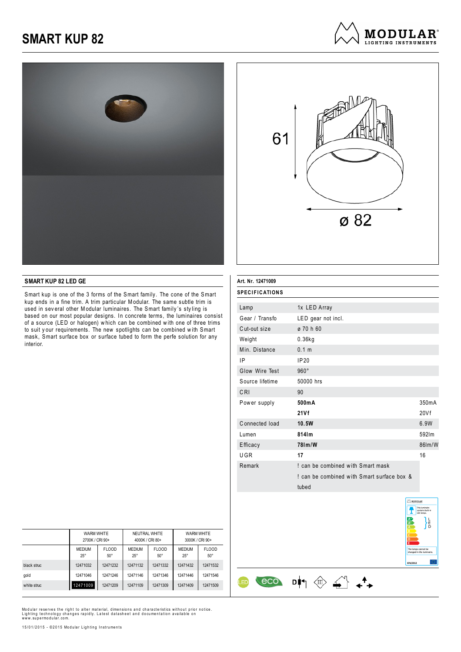



**MODULAR**<sup>®</sup> LIGHTING INSTRUMENTS

#### **SMART KUP 82 LED GE**

Smart kup is one of the 3 forms of the Smart family. The cone of the Smart kup ends in a fine trim. A trim particular Modular. The same subtle trim is used in sev eral other Modular luminaires. The Smart family 's sty ling is based on our most popular designs. In concrete terms, the luminaires consist of a source (LED or halogen) w hich can be combined w ith one of three trims to suit your requirements. The new spotlights can be combined with Smart mask, Smart surface box or surface tubed to form the perfe solution for any interior.

| Art. Nr. 12471009     |                                            |        |
|-----------------------|--------------------------------------------|--------|
| <b>SPECIFICATIONS</b> |                                            |        |
| Lamp                  | 1x LED Array                               |        |
| Gear / Transfo        | LED gear not incl.                         |        |
| Cut-out size          | ø 70 h 60                                  |        |
| Weight                | $0.36$ kg                                  |        |
| Min. Distance         | 0.1 <sub>m</sub>                           |        |
| ΙP                    | IP20                                       |        |
| Glow Wire Test        | $960^\circ$                                |        |
| Source lifetime       | 50000 hrs                                  |        |
| CRI                   | 90                                         |        |
| Power supply          | 500mA                                      | 350mA  |
|                       | 21Vf                                       | 20Vf   |
| Connected load        | 10.5W                                      | 6.9W   |
| Lumen                 | 814lm                                      | 592lm  |
| Efficacy              | 781m/W                                     | 861m/W |
| UGR                   | 17                                         | 16     |
| Remark                | ! can be combined with Smart mask          |        |
|                       | I can be combined with Smart surface box & |        |
|                       | tubed                                      |        |

 $\begin{array}{ccc} & & & \\ \hline & & & \\ \hline & & & \\ \hline & & & \\ \hline & & & \\ \hline & & & \\ \hline & & & \\ \hline & & & \\ \hline & & & \\ \hline & & & \\ \hline & & & \\ \hline & & & \\ \hline & & & \\ \hline & & & \\ \hline & & & \\ \hline & & & \\ \hline & & & \\ \hline & & & \\ \hline & & & \\ \hline & & & \\ \hline & & & \\ \hline & & & & \\ \hline & & & & \\ \hline & & & & \\ \hline & & & & \\ \hline & & & & \\ \hline & & & & \\ \hline & & & & \\ \hline & & & & \\ \hline & &$ 

<u>ED</u>



|             | WARM WHITE<br>2700K / CRI 90+ |                            | NEUTRAL WHITE                 | 4000K / CRI 80+            | <b>WARM WHITE</b><br>3000K / CRI 90+ |                            |
|-------------|-------------------------------|----------------------------|-------------------------------|----------------------------|--------------------------------------|----------------------------|
|             | <b>MEDIUM</b><br>$25^{\circ}$ | <b>FLOOD</b><br>$50^\circ$ | <b>MEDIUM</b><br>$25^{\circ}$ | <b>FLOOD</b><br>$50^\circ$ | <b>MEDIUM</b><br>$25^{\circ}$        | <b>FLOOD</b><br>$50^\circ$ |
| black struc | 12471032                      | 12471232                   | 12471132                      | 12471332                   | 12471432                             | 12471532                   |
| gold        | 12471046                      | 12471246                   | 12471146                      | 12471346                   | 12471446                             | 12471546                   |
| white struc | 12471009                      | 12471209                   | 12471109                      | 12471309                   | 12471409                             | 12471509                   |

Modular reserves the right to alter material, dimensions and characteristics without prior notice.<br>Lighting technology changes rapidly. Latest datasheet and documentation available on<br>www.supermodular.com.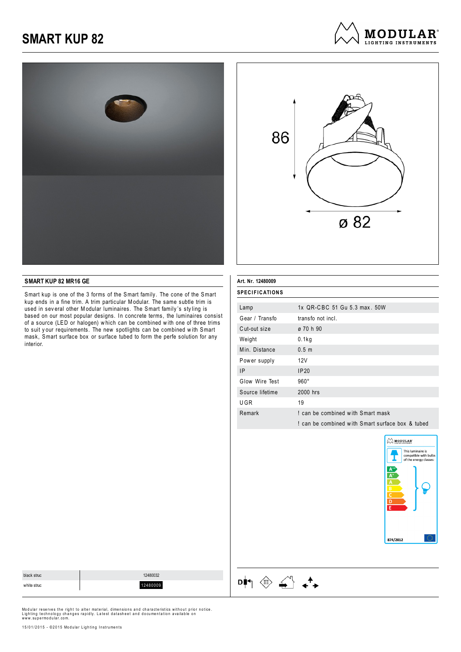



**MODULAR**<sup>®</sup> LIGHTING INSTRUMENTS

### **SMART KUP 82 MR16 GE**

Smart kup is one of the 3 forms of the Smart family. The cone of the Smart kup ends in a fine trim. A trim particular Modular. The same subtle trim is used in sev eral other Modular luminaires. The Smart family 's sty ling is based on our most popular designs. In concrete terms, the luminaires consist of a source (LED or halogen) w hich can be combined w ith one of three trims to suit your requirements. The new spotlights can be combined with Smart mask, Smart surface box or surface tubed to form the perfe solution for any interior.

| Art. Nr. 12480009 |                                                  |
|-------------------|--------------------------------------------------|
| SPECIFICATIONS    |                                                  |
| Lamp              | 1x QR-CBC 51 Gu 5.3 max, 50W                     |
| Gear / Transfo    | transfo not incl.                                |
| Cut-out size      | ø 70 h 90                                        |
| Weight            | 0.1kg                                            |
| Min. Distance     | 0.5 <sub>m</sub>                                 |
| Power supply      | 12V                                              |
| <b>IP</b>         | IP20                                             |
| Glow Wire Test    | $960^\circ$                                      |
| Source lifetime   | 2000 hrs                                         |
| UGR               | 19                                               |
| Remark            | I can be combined with Smart mask                |
|                   | I can be combined with Smart surface box & tubed |
|                   |                                                  |



| black struc | 12480032 |
|-------------|----------|
| white struc | 12480009 |



Modular reserves the right to alter material, dimensions and characteristics without prior notice.<br>Lighting technology changes rapidly. Latest datasheet and documentation available on<br>www.supermodular.com.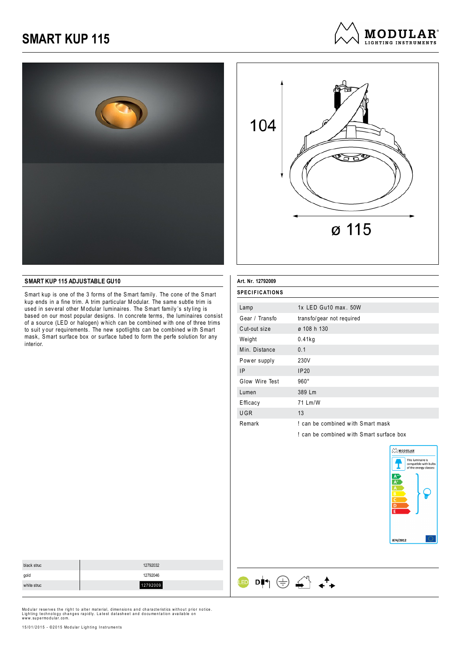





#### **SMART KUP 115 ADJUSTABLE GU10**

Smart kup is one of the 3 forms of the Smart family. The cone of the Smart kup ends in a fine trim. A trim particular Modular. The same subtle trim is used in sev eral other Modular luminaires. The Smart family 's sty ling is based on our most popular designs. In concrete terms, the luminaires consist of a source (LED or halogen) w hich can be combined w ith one of three trims to suit y our requirements. The new spotlights can be combined w ith Smart mask, Smart surface box or surface tubed to form the perfe solution for any interior.

| Art. Nr. 12792009     |                                        |
|-----------------------|----------------------------------------|
| <b>SPECIFICATIONS</b> |                                        |
| Lamp                  | 1x LED Gu10 max. 50W                   |
| Gear / Transfo        | transfo/gear not required              |
| Cut-out size          | ø 108 h 130                            |
| Weight                | 0.41kg                                 |
| Min. Distance         | 0.1                                    |
| Power supply          | 230V                                   |
| ΙP                    | IP20                                   |
| Glow Wire Test        | $960^\circ$                            |
| Lumen                 | 389 Lm                                 |
| Efficacy              | 71 Lm/W                                |
| <b>UGR</b>            | 13                                     |
| Remark                | I can be combined with Smart mask      |
|                       | can be combined with Smart surface box |

 $\begin{picture}(150,10) \put(0,0){\line(1,0){10}} \put(15,0){\line(1,0){10}} \put(15,0){\line(1,0){10}} \put(15,0){\line(1,0){10}} \put(15,0){\line(1,0){10}} \put(15,0){\line(1,0){10}} \put(15,0){\line(1,0){10}} \put(15,0){\line(1,0){10}} \put(15,0){\line(1,0){10}} \put(15,0){\line(1,0){10}} \put(15,0){\line(1,0){10}} \put(15,0){\line($ 



| black struc | 12792032 |
|-------------|----------|
| gold        | 12792046 |
| white struc | 12792009 |
|             |          |

Modular reserves the right to alter material, dimensions and characteristics without prior notice.<br>Lighting technology changes rapidly. Latest datasheet and documentation available on<br>www.supermodular.com.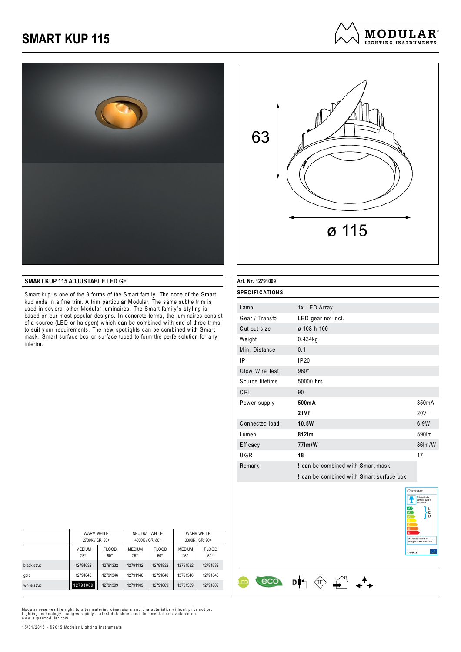





#### **SMART KUP 115 ADJUSTABLE LED GE**

Smart kup is one of the 3 forms of the Smart family. The cone of the Smart kup ends in a fine trim. A trim particular Modular. The same subtle trim is used in sev eral other Modular luminaires. The Smart family 's sty ling is based on our most popular designs. In concrete terms, the luminaires consist of a source (LED or halogen) w hich can be combined w ith one of three trims to suit y our requirements. The new spotlights can be combined w ith Smart mask, Smart surface box or surface tubed to form the perfe solution for any interior.

| Art. Nr. 12791009     |                                          |        |
|-----------------------|------------------------------------------|--------|
| <b>SPECIFICATIONS</b> |                                          |        |
| Lamp                  | 1x LED Array                             |        |
| Gear / Transfo        | LED gear not incl.                       |        |
| Cut-out size          | ø 108 h 100                              |        |
| Weight                | $0.434$ kg                               |        |
| Min. Distance         | 0.1                                      |        |
| ΙP                    | IP20                                     |        |
| Glow Wire Test        | $960^\circ$                              |        |
| Source lifetime       | 50000 hrs                                |        |
| CRI                   | 90                                       |        |
| Power supply          | 500mA                                    | 350mA  |
|                       | 21Vf                                     | 20Vf   |
| Connected load        | 10.5W                                    | 6.9W   |
| Lumen                 | 812Im                                    | 590lm  |
| Efficacy              | 771m/W                                   | 86lm/W |
| UGR                   | 18                                       | 17     |
| Remark                | I can be combined with Smart mask        |        |
|                       | ! can be combined with Smart surface box |        |

 $\begin{array}{ccc} & & & \\ \hline & & & \\ \hline & & & \\ \hline & & & \\ \hline & & & \\ \hline & & & \\ \hline & & & \\ \hline & & & \\ \hline & & & \\ \hline & & & \\ \hline & & & \\ \hline & & & \\ \hline & & & \\ \hline & & & \\ \hline & & & \\ \hline & & & \\ \hline & & & \\ \hline & & & \\ \hline & & & \\ \hline & & & \\ \hline & & & \\ \hline & & & & \\ \hline & & & & \\ \hline & & & & \\ \hline & & & & \\ \hline & & & & \\ \hline & & & & \\ \hline & & & & \\ \hline & & & & \\ \hline & &$ 

<u>ED</u>



|             | WARM WHITE<br>2700K / CRI 90+ |                            |                             | NEUTRAL WHITE<br>4000K / CRI 80+ | WARM WHITE<br>3000K / CRI 90+ |                            |  |
|-------------|-------------------------------|----------------------------|-----------------------------|----------------------------------|-------------------------------|----------------------------|--|
|             | <b>MEDIUM</b><br>$25^{\circ}$ | <b>FLOOD</b><br>$50^\circ$ | <b>MEDIUM</b><br>$25^\circ$ | <b>FLOOD</b><br>$50^\circ$       | <b>MEDIUM</b><br>$25^{\circ}$ | <b>FLOOD</b><br>$50^\circ$ |  |
| black struc | 12791032                      | 12791332                   | 12791132                    | 12791832                         | 12791532                      | 12791632                   |  |
| gold        | 12791046                      | 12791346                   | 12791146                    | 12791846                         | 12791546                      | 12791646                   |  |
| white struc | 12791009                      | 12791309                   | 12791109                    | 12791809                         | 12791509                      | 12791609                   |  |

Modular reserves the right to alter material, dimensions and characteristics without prior notice.<br>Lighting technology changes rapidly. Latest datasheet and documentation available on<br>www.supermodular.com.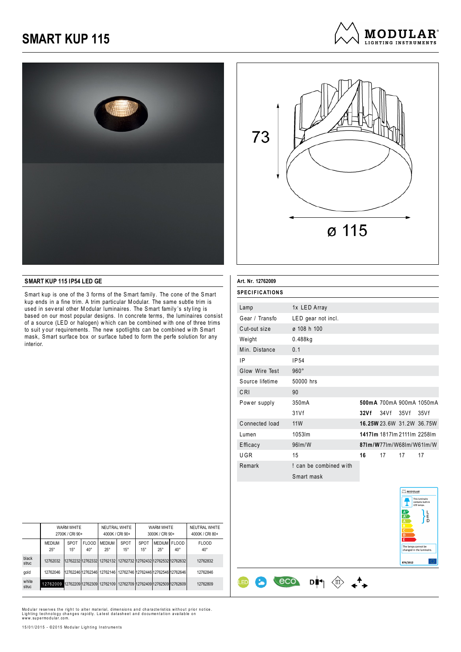





#### **SMART KUP 115 IP54 LED GE**

Smart kup is one of the 3 forms of the Smart family. The cone of the Smart kup ends in a fine trim. A trim particular Modular. The same subtle trim is used in sev eral other Modular luminaires. The Smart family 's sty ling is based on our most popular designs. In concrete terms, the luminaires consist of a source (LED or halogen) w hich can be combined w ith one of three trims to suit your requirements. The new spotlights can be combined with Smart mask, Smart surface box or surface tubed to form the perfe solution for any interior.

| Art. Nr. 12762009 |                        |      |        |      |                             |
|-------------------|------------------------|------|--------|------|-----------------------------|
| SPECIFICATIONS    |                        |      |        |      |                             |
| Lamp              | 1x LED Array           |      |        |      |                             |
| Gear / Transfo    | LED gear not incl.     |      |        |      |                             |
| Cut-out size      | ø 108 h 100            |      |        |      |                             |
| Weight            | $0.488$ kg             |      |        |      |                             |
| Min. Distance     | 0.1                    |      |        |      |                             |
| 1P                | IP <sub>54</sub>       |      |        |      |                             |
| Glow Wire Test    | $960^\circ$            |      |        |      |                             |
| Source lifetime   | 50000 hrs              |      |        |      |                             |
| CRI               | 90                     |      |        |      |                             |
| Power supply      | 350mA                  |      |        |      | 500mA 700mA 900mA 1050mA    |
|                   | 31Vf                   | 32Vf | 34 V f | 35Vf | 35Vf                        |
| Connected load    | <b>11W</b>             |      |        |      | 16.25W 23.6W 31.2W 36.75W   |
| Lumen             | 1053Im                 |      |        |      | 14171m 18171m 21111m 22581m |
| Efficacy          | 961m/W                 |      |        |      | 871m/W771m/W681m/W611m/W    |
| UGR               | 15                     | 16   | 17     | 17   | 17                          |
| Remark            | ! can be combined with |      |        |      |                             |
|                   | Smart mask             |      |        |      |                             |



|                | <b>WARM WHITE</b><br>2700K / CRI 90+                                   |                             | NEUTRAL WHITE<br>4000K / CRI 90+ |                               | WARM WHITE<br>3000K / CRI 90+                                 |                      |                            | NEUTRAL WHITE<br>4000K / CRI 80+ |                              |
|----------------|------------------------------------------------------------------------|-----------------------------|----------------------------------|-------------------------------|---------------------------------------------------------------|----------------------|----------------------------|----------------------------------|------------------------------|
|                | <b>MEDIUM</b><br>$25^{\circ}$                                          | <b>SPOT</b><br>$15^{\circ}$ | <b>FLOOD</b><br>$40^{\circ}$     | <b>MEDIUM</b><br>$25^{\circ}$ | <b>SPOT</b><br>$15^{\circ}$                                   | SPOT<br>$15^{\circ}$ | MEDIUM FLOOD<br>$25^\circ$ | $40^{\circ}$                     | <b>FLOOD</b><br>$40^{\circ}$ |
| black<br>struc | 12762032                                                               |                             |                                  |                               | 1276223212762332 12762132 12762732 12762432 12762532 12762632 |                      |                            |                                  | 12762832                     |
| gold           | 12762046                                                               |                             |                                  |                               | 1276224612762346 12762146 12762746 12762446 12762546 12762646 |                      |                            |                                  | 12762846                     |
| white<br>struc | 12762009 1276220912762309 12762109 12762709 12762409 12762509 12762609 |                             |                                  |                               |                                                               |                      |                            |                                  | 12762809                     |

ŒD

8

Modular reserves the right to alter material, dimensions and characteristics without prior notice.<br>Lighting technology changes rapidly. Latest datasheet and documentation available on<br>www.supermodular.com.